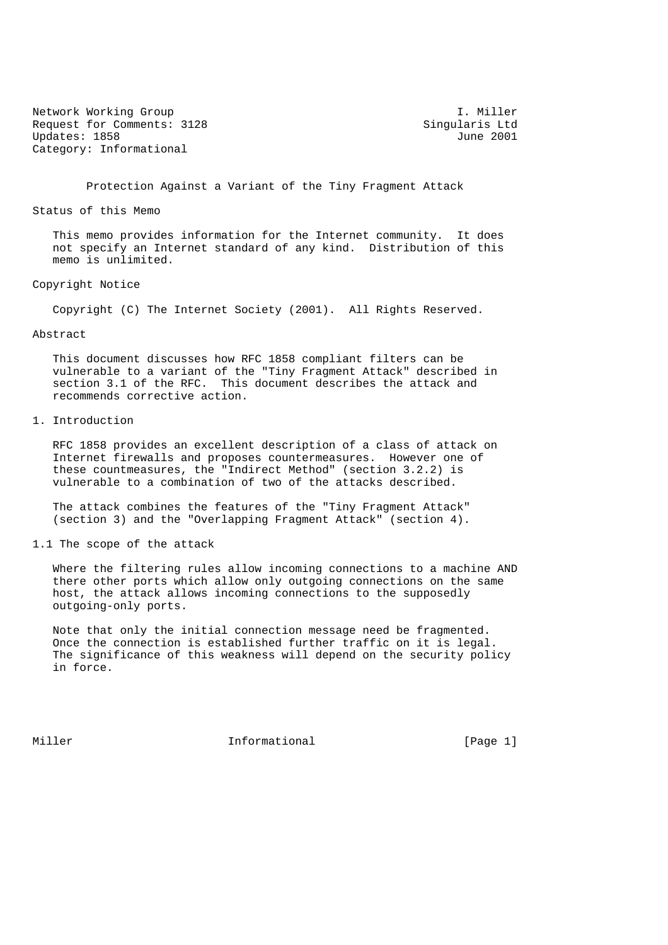Network Working Group and the set of the set of the set of the set of the set of the set of the set of the set of the set of the set of the set of the set of the set of the set of the set of the set of the set of the set o Request for Comments: 3128 Singularis Ltd<br>Updates: 1858 June 2001 Updates: 1858 Category: Informational

Protection Against a Variant of the Tiny Fragment Attack

Status of this Memo

 This memo provides information for the Internet community. It does not specify an Internet standard of any kind. Distribution of this memo is unlimited.

Copyright Notice

Copyright (C) The Internet Society (2001). All Rights Reserved.

## Abstract

 This document discusses how RFC 1858 compliant filters can be vulnerable to a variant of the "Tiny Fragment Attack" described in section 3.1 of the RFC. This document describes the attack and recommends corrective action.

1. Introduction

 RFC 1858 provides an excellent description of a class of attack on Internet firewalls and proposes countermeasures. However one of these countmeasures, the "Indirect Method" (section 3.2.2) is vulnerable to a combination of two of the attacks described.

 The attack combines the features of the "Tiny Fragment Attack" (section 3) and the "Overlapping Fragment Attack" (section 4).

1.1 The scope of the attack

 Where the filtering rules allow incoming connections to a machine AND there other ports which allow only outgoing connections on the same host, the attack allows incoming connections to the supposedly outgoing-only ports.

 Note that only the initial connection message need be fragmented. Once the connection is established further traffic on it is legal. The significance of this weakness will depend on the security policy in force.

Miller **Informational Informational** [Page 1]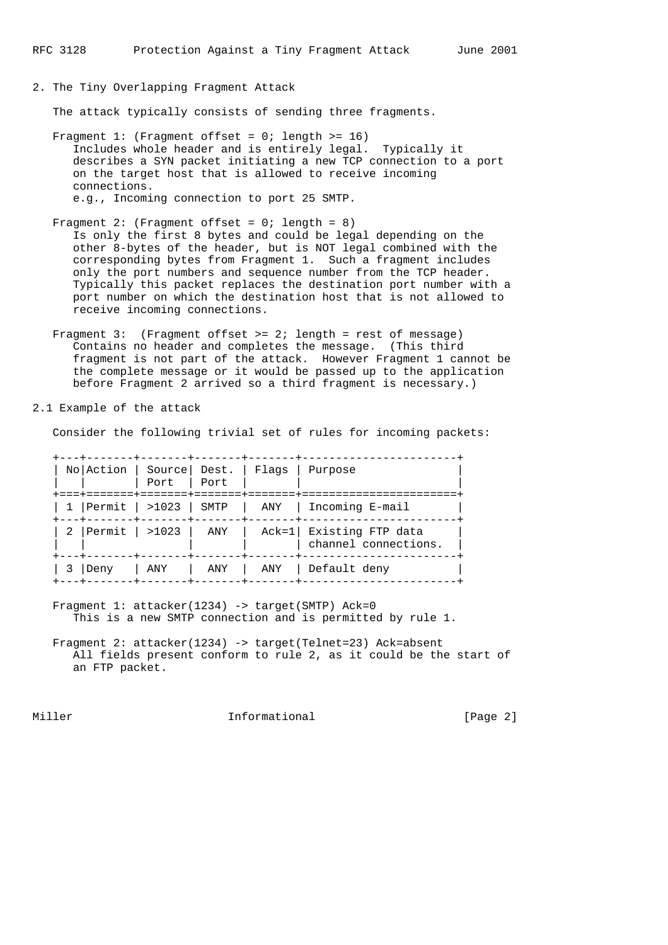2. The Tiny Overlapping Fragment Attack

The attack typically consists of sending three fragments.

- Fragment 1: (Fragment offset = 0; length >= 16) Includes whole header and is entirely legal. Typically it describes a SYN packet initiating a new TCP connection to a port on the target host that is allowed to receive incoming connections. e.g., Incoming connection to port 25 SMTP.
- Fragment 2: (Fragment offset =  $0$ ; length = 8) Is only the first 8 bytes and could be legal depending on the other 8-bytes of the header, but is NOT legal combined with the corresponding bytes from Fragment 1. Such a fragment includes only the port numbers and sequence number from the TCP header. Typically this packet replaces the destination port number with a port number on which the destination host that is not allowed to receive incoming connections.
- Fragment 3: (Fragment offset >= 2; length = rest of message) Contains no header and completes the message. (This third fragment is not part of the attack. However Fragment 1 cannot be the complete message or it would be passed up to the application before Fragment 2 arrived so a third fragment is necessary.)

2.1 Example of the attack

Consider the following trivial set of rules for incoming packets:

| No Action   Source   Dest.   Flags | Port   Port<br>. = = = = = = = + = = = = = = = + = = = = = = = |       | Purpose                                         |
|------------------------------------|----------------------------------------------------------------|-------|-------------------------------------------------|
| 1  Permit   >1023   SMTP           |                                                                |       | ANY   Incoming E-mail                           |
| 2 Permit   >1023                   |                                                                | l ANY | Ack=1 Existing FTP data<br>channel connections. |
| Deny                               | ANY                                                            |       | ANY   ANY   Default deny                        |

- Fragment 1: attacker(1234) -> target(SMTP) Ack=0 This is a new SMTP connection and is permitted by rule 1.
- Fragment 2: attacker(1234) -> target(Telnet=23) Ack=absent All fields present conform to rule 2, as it could be the start of an FTP packet.

Miller **Informational Informational** [Page 2]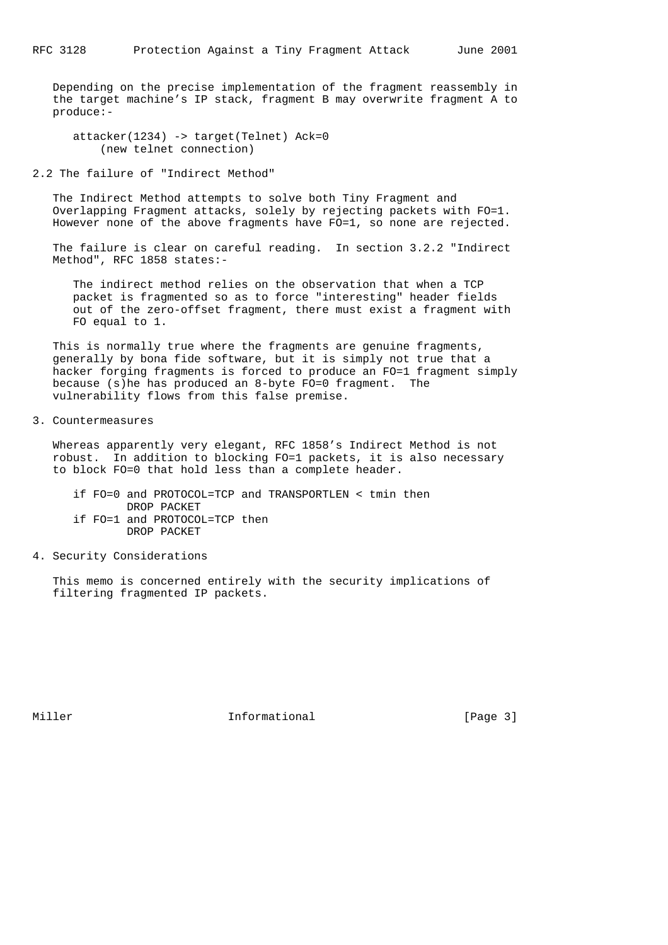Depending on the precise implementation of the fragment reassembly in the target machine's IP stack, fragment B may overwrite fragment A to produce:-

 attacker(1234) -> target(Telnet) Ack=0 (new telnet connection)

2.2 The failure of "Indirect Method"

 The Indirect Method attempts to solve both Tiny Fragment and Overlapping Fragment attacks, solely by rejecting packets with FO=1. However none of the above fragments have FO=1, so none are rejected.

 The failure is clear on careful reading. In section 3.2.2 "Indirect Method", RFC 1858 states:-

 The indirect method relies on the observation that when a TCP packet is fragmented so as to force "interesting" header fields out of the zero-offset fragment, there must exist a fragment with FO equal to 1.

 This is normally true where the fragments are genuine fragments, generally by bona fide software, but it is simply not true that a hacker forging fragments is forced to produce an FO=1 fragment simply because (s)he has produced an 8-byte FO=0 fragment. The vulnerability flows from this false premise.

3. Countermeasures

 Whereas apparently very elegant, RFC 1858's Indirect Method is not robust. In addition to blocking FO=1 packets, it is also necessary to block FO=0 that hold less than a complete header.

 if FO=0 and PROTOCOL=TCP and TRANSPORTLEN < tmin then DROP PACKET if FO=1 and PROTOCOL=TCP then DROP PACKET

4. Security Considerations

 This memo is concerned entirely with the security implications of filtering fragmented IP packets.

Miller **Informational Informational** [Page 3]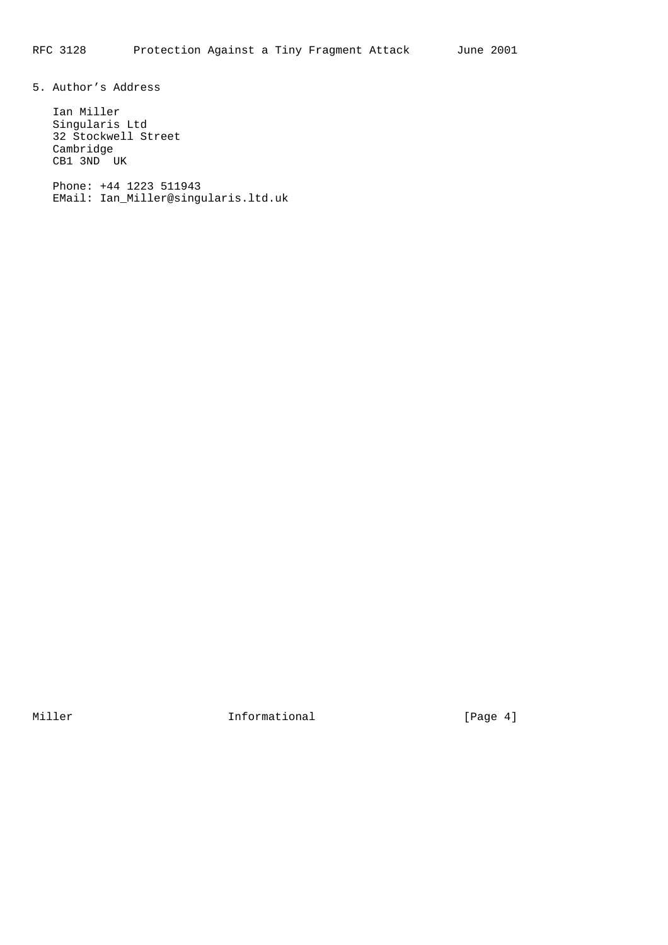5. Author's Address

 Ian Miller Singularis Ltd 32 Stockwell Street Cambridge CB1 3ND UK

 Phone: +44 1223 511943 EMail: Ian\_Miller@singularis.ltd.uk

Miller **Informational Informational** [Page 4]